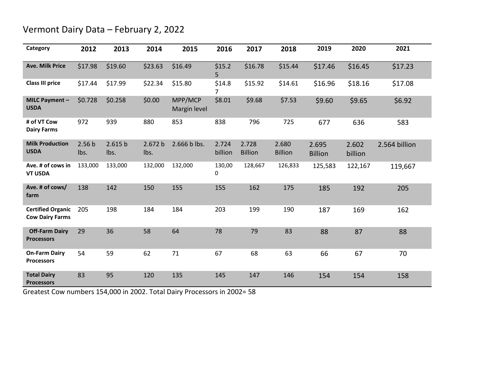## Vermont Dairy Data – February 2, 2022

| Category                                           | 2012                      | 2013            | 2014            | 2015                    | 2016             | 2017                    | 2018                    | 2019                    | 2020             | 2021          |
|----------------------------------------------------|---------------------------|-----------------|-----------------|-------------------------|------------------|-------------------------|-------------------------|-------------------------|------------------|---------------|
| <b>Ave. Milk Price</b>                             | \$17.98                   | \$19.60         | \$23.63         | \$16.49                 | \$15.2<br>5      | \$16.78                 | \$15.44                 | \$17.46                 | \$16.45          | \$17.23       |
| <b>Class III price</b>                             | \$17.44                   | \$17.99         | \$22.34         | \$15.80                 | \$14.8<br>7      | \$15.92                 | \$14.61                 | \$16.96                 | \$18.16          | \$17.08       |
| MILC Payment -<br><b>USDA</b>                      | \$0.728                   | \$0.258         | \$0.00          | MPP/MCP<br>Margin level | \$8.01           | \$9.68                  | \$7.53                  | \$9.60                  | \$9.65           | \$6.92        |
| # of VT Cow<br><b>Dairy Farms</b>                  | 972                       | 939             | 880             | 853                     | 838              | 796                     | 725                     | 677                     | 636              | 583           |
| <b>Milk Production</b><br><b>USDA</b>              | 2.56 <sub>b</sub><br>Ibs. | 2.615 b<br>lbs. | 2.672 b<br>Ibs. | 2.666 b lbs.            | 2.724<br>billion | 2.728<br><b>Billion</b> | 2.680<br><b>Billion</b> | 2.695<br><b>Billion</b> | 2.602<br>billion | 2.564 billion |
| Ave. # of cows in<br><b>VT USDA</b>                | 133,000                   | 133,000         | 132,000         | 132,000                 | 130,00<br>0      | 128,667                 | 126,833                 | 125,583                 | 122,167          | 119,667       |
| Ave. # of cows/<br>farm                            | 138                       | 142             | 150             | 155                     | 155              | 162                     | 175                     | 185                     | 192              | 205           |
| <b>Certified Organic</b><br><b>Cow Dairy Farms</b> | 205                       | 198             | 184             | 184                     | 203              | 199                     | 190                     | 187                     | 169              | 162           |
| <b>Off-Farm Dairy</b><br><b>Processors</b>         | 29                        | 36              | 58              | 64                      | 78               | 79                      | 83                      | 88                      | 87               | 88            |
| <b>On-Farm Dairy</b><br><b>Processors</b>          | 54                        | 59              | 62              | 71                      | 67               | 68                      | 63                      | 66                      | 67               | 70            |
| <b>Total Dairy</b><br><b>Processors</b>            | 83                        | 95              | 120             | 135                     | 145              | 147                     | 146                     | 154                     | 154              | 158           |

Greatest Cow numbers 154,000 in 2002. Total Dairy Processors in 2002= 58